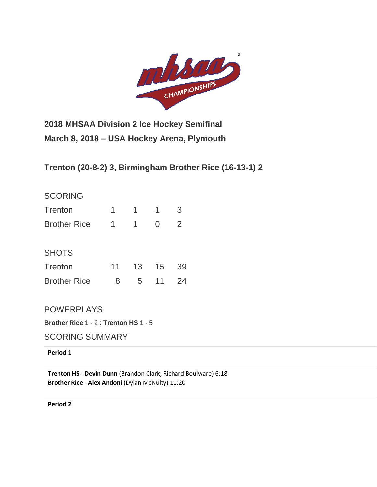

**2018 MHSAA Division 2 Ice Hockey Semifinal March 8, 2018 – USA Hockey Arena, Plymouth**

**Trenton (20-8-2) 3, Birmingham Brother Rice (16-13-1) 2**

## **SCORING**

| <b>Trenton</b>      | 1               | 1.              | 1  | 3  |
|---------------------|-----------------|-----------------|----|----|
| <b>Brother Rice</b> | 1.              | $\mathbf 1$     | 0  | 2  |
| <b>SHOTS</b>        |                 |                 |    |    |
| <b>Trenton</b>      | 11 <sup>1</sup> | 13 <sup>°</sup> | 15 | 39 |

Brother Rice 8 5 11 24

POWERPLAYS

**Brother Rice** 1 - 2 : **Trenton HS** 1 - 5

SCORING SUMMARY

**Period 1**

**Trenton HS** - **[Devin Dunn](http://mihl_site.wttstats.pointstreak.com/playerpage.html?playerid=10569089&seasonid=17926)** [\(Brandon Clark,](http://mihl_site.wttstats.pointstreak.com/playerpage.html?playerid=10569093&seasonid=17926) [Richard Boulware\)](http://mihl_site.wttstats.pointstreak.com/playerpage.html?playerid=10569097&seasonid=17926) 6:18 **Brother Rice** - **[Alex Andoni](http://mihl_site.wttstats.pointstreak.com/playerpage.html?playerid=10568894&seasonid=17926)** [\(Dylan McNulty\)](http://mihl_site.wttstats.pointstreak.com/playerpage.html?playerid=10568898&seasonid=17926) 11:20

**Period 2**